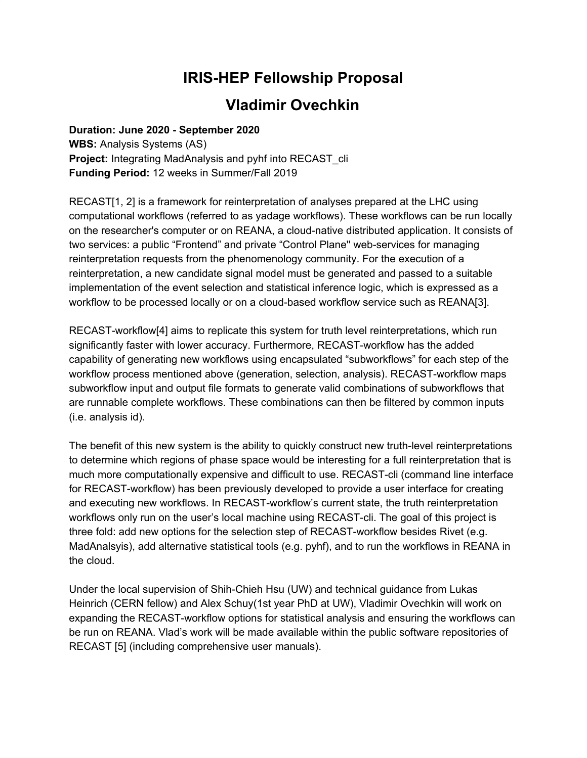## **IRIS-HEP Fellowship Proposal**

## **Vladimir Ovechkin**

**Duration: June 2020 - September 2020 WBS:** Analysis Systems (AS) **Project:** Integrating MadAnalysis and pyhf into RECAST cli **Funding Period:** 12 weeks in Summer/Fall 2019

RECAST[1, 2] is a framework for reinterpretation of analyses prepared at the LHC using computational workflows (referred to as yadage workflows). These workflows can be run locally on the researcher's computer or on REANA, a cloud-native distributed application. It consists of two services: a public "Frontend" and private "Control Plane'' web-services for managing reinterpretation requests from the phenomenology community. For the execution of a reinterpretation, a new candidate signal model must be generated and passed to a suitable implementation of the event selection and statistical inference logic, which is expressed as a workflow to be processed locally or on a cloud-based workflow service such as REANA[3].

RECAST-workflow[4] aims to replicate this system for truth level reinterpretations, which run significantly faster with lower accuracy. Furthermore, RECAST-workflow has the added capability of generating new workflows using encapsulated "subworkflows" for each step of the workflow process mentioned above (generation, selection, analysis). RECAST-workflow maps subworkflow input and output file formats to generate valid combinations of subworkflows that are runnable complete workflows. These combinations can then be filtered by common inputs (i.e. analysis id).

The benefit of this new system is the ability to quickly construct new truth-level reinterpretations to determine which regions of phase space would be interesting for a full reinterpretation that is much more computationally expensive and difficult to use. RECAST-cli (command line interface for RECAST-workflow) has been previously developed to provide a user interface for creating and executing new workflows. In RECAST-workflow's current state, the truth reinterpretation workflows only run on the user's local machine using RECAST-cli. The goal of this project is three fold: add new options for the selection step of RECAST-workflow besides Rivet (e.g. MadAnalsyis), add alternative statistical tools (e.g. pyhf), and to run the workflows in REANA in the cloud.

Under the local supervision of Shih-Chieh Hsu (UW) and technical guidance from Lukas Heinrich (CERN fellow) and Alex Schuy(1st year PhD at UW), Vladimir Ovechkin will work on expanding the RECAST-workflow options for statistical analysis and ensuring the workflows can be run on REANA. Vlad's work will be made available within the public software repositories of RECAST [5] (including comprehensive user manuals).